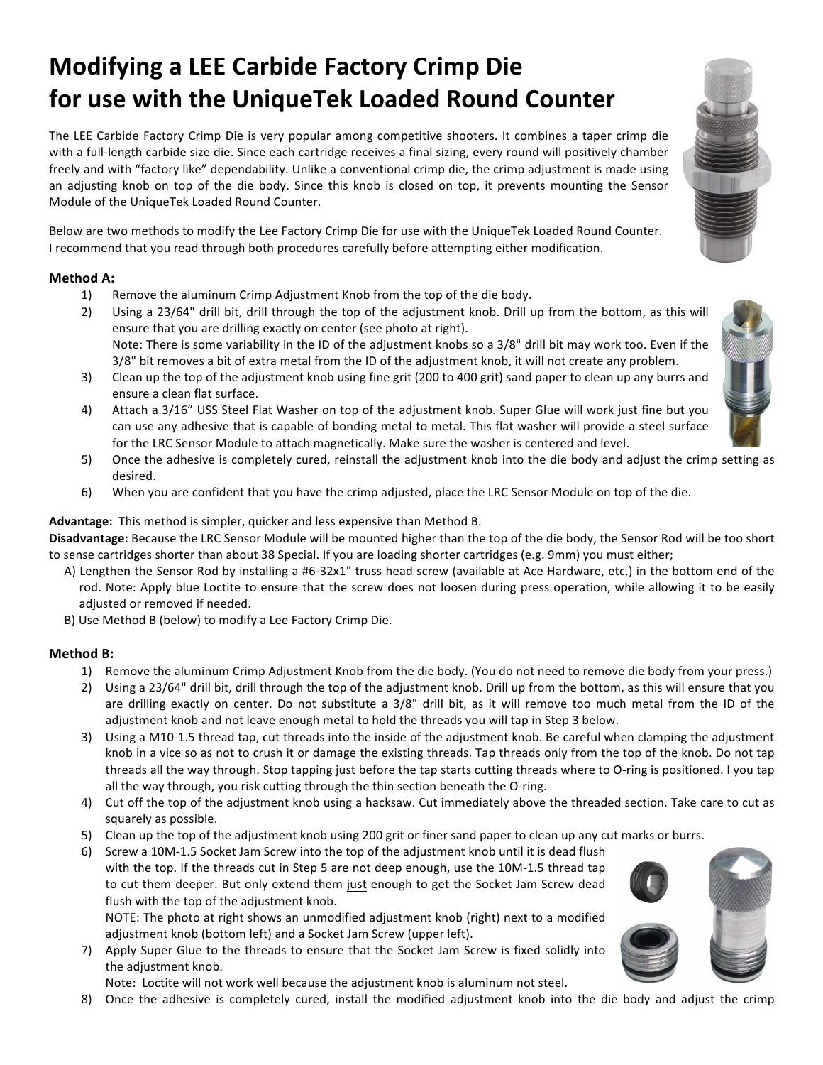# **Modifying a LEE Carbide Factory Crimp Die for use with the UniqueTek Loaded Round Counter**

The LEE Carbide Factory Crimp Die is very popular among competitive shooters. It combines a taper crimp die with a full-length carbide size die. Since each cartridge receives a final sizing, every round will positively chamber freely and with "factory like" dependability. Unlike a conventional crimp die, the crimp adjustment is made using an adjusting knob on top of the die body. Since this knob is closed on top, it prevents mounting the Sensor Module of the UniqueTek Loaded Round Counter.

Below are two methods to modify the Lee Factory Crimp Die for use with the UniqueTek Loaded Round Counter. I recommend that you read through both procedures carefully before attempting either modification.

#### **Method A:**

- 1) Remove the aluminum Crimp Adjustment Knob from the top of the die body.
- 2) Using a 23/64" drill bit, drill through the top of the adjustment knob. Drill up from the bottom, as this will ensure that you are drilling exactly on center (see photo at right). Note: There is some variability in the ID of the adjustment knobs so a 3/8" drill bit may work too. Even if the 3/8" bit removes a bit of extra metal from the ID of the adjustment knob, it will not create any problem.
- 3) Clean up the top of the adjustment knob using fine grit (200 to 400 grit) sand paper to clean up any burrs and ensure a clean flat surface.
- 4) Attach a 3/16" USS Steel Flat Washer on top of the adjustment knob. Super Glue will work just fine but you can use any adhesive that is capable of bonding metal to metal. This flat washer will provide a steel surface for the LRC Sensor Module to attach magnetically. Make sure the washer is centered and level.
- 5) Once the adhesive is completely cured, reinstall the adjustment knob into the die body and adjust the crimp setting as desired.
- 6) When you are confident that you have the crimp adjusted, place the LRC Sensor Module on top of the die.

**Advantage:** This method is simpler, quicker and less expensive than Method B.

Disadvantage: Because the LRC Sensor Module will be mounted higher than the top of the die body, the Sensor Rod will be too short to sense cartridges shorter than about 38 Special. If you are loading shorter cartridges (e.g. 9mm) you must either;

- A) Lengthen the Sensor Rod by installing a #6-32x1" truss head screw (available at Ace Hardware, etc.) in the bottom end of the rod. Note: Apply blue Loctite to ensure that the screw does not loosen during press operation, while allowing it to be easily adjusted or removed if needed.
- B) Use Method B (below) to modify a Lee Factory Crimp Die.

#### **Method B:**

- 1) Remove the aluminum Crimp Adjustment Knob from the die body. (You do not need to remove die body from your press.)
- 2) Using a 23/64" drill bit, drill through the top of the adjustment knob. Drill up from the bottom, as this will ensure that you are drilling exactly on center. Do not substitute a 3/8" drill bit, as it will remove too much metal from the ID of the adjustment knob and not leave enough metal to hold the threads you will tap in Step 3 below.
- 3) Using a M10-1.5 thread tap, cut threads into the inside of the adjustment knob. Be careful when clamping the adjustment knob in a vice so as not to crush it or damage the existing threads. Tap threads only from the top of the knob. Do not tap threads all the way through. Stop tapping just before the tap starts cutting threads where to O-ring is positioned. I you tap all the way through, you risk cutting through the thin section beneath the O-ring.
- 4) Cut off the top of the adjustment knob using a hacksaw. Cut immediately above the threaded section. Take care to cut as squarely as possible.
- 5) Clean up the top of the adjustment knob using 200 grit or finer sand paper to clean up any cut marks or burrs.
- 6) Screw a 10M-1.5 Socket Jam Screw into the top of the adjustment knob until it is dead flush with the top. If the threads cut in Step 5 are not deep enough, use the 10M-1.5 thread tap to cut them deeper. But only extend them just enough to get the Socket Jam Screw dead flush with the top of the adjustment knob.

NOTE: The photo at right shows an unmodified adjustment knob (right) next to a modified adjustment knob (bottom left) and a Socket Jam Screw (upper left).

7) Apply Super Glue to the threads to ensure that the Socket Jam Screw is fixed solidly into the adjustment knob.

Note: Loctite will not work well because the adjustment knob is aluminum not steel.

8) Once the adhesive is completely cured, install the modified adjustment knob into the die body and adjust the crimp